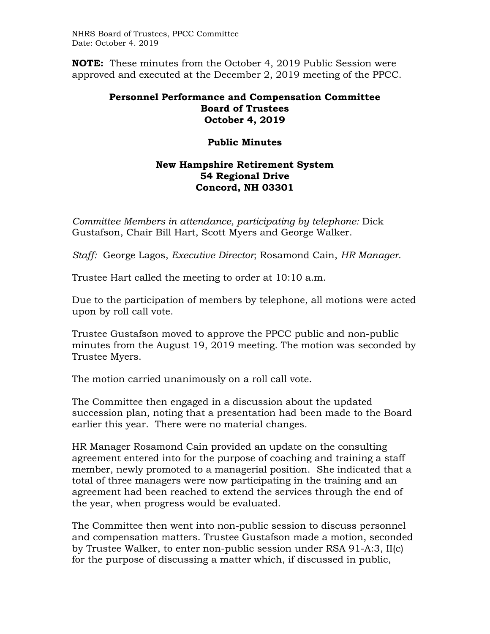**NOTE:** These minutes from the October 4, 2019 Public Session were approved and executed at the December 2, 2019 meeting of the PPCC.

## **Personnel Performance and Compensation Committee Board of Trustees October 4, 2019**

## **Public Minutes**

## **New Hampshire Retirement System 54 Regional Drive Concord, NH 03301**

*Committee Members in attendance, participating by telephone: Dick* Gustafson, Chair Bill Hart, Scott Myers and George Walker.

*Staff:* George Lagos, *Executive Director*; Rosamond Cain, *HR Manager*.

Trustee Hart called the meeting to order at 10:10 a.m.

Due to the participation of members by telephone, all motions were acted upon by roll call vote.

Trustee Gustafson moved to approve the PPCC public and non-public minutes from the August 19, 2019 meeting. The motion was seconded by Trustee Myers.

The motion carried unanimously on a roll call vote.

The Committee then engaged in a discussion about the updated succession plan, noting that a presentation had been made to the Board earlier this year. There were no material changes.

HR Manager Rosamond Cain provided an update on the consulting agreement entered into for the purpose of coaching and training a staff member, newly promoted to a managerial position. She indicated that a total of three managers were now participating in the training and an agreement had been reached to extend the services through the end of the year, when progress would be evaluated.

The Committee then went into non-public session to discuss personnel and compensation matters. Trustee Gustafson made a motion, seconded by Trustee Walker, to enter non-public session under RSA 91-A:3, II(c) for the purpose of discussing a matter which, if discussed in public,